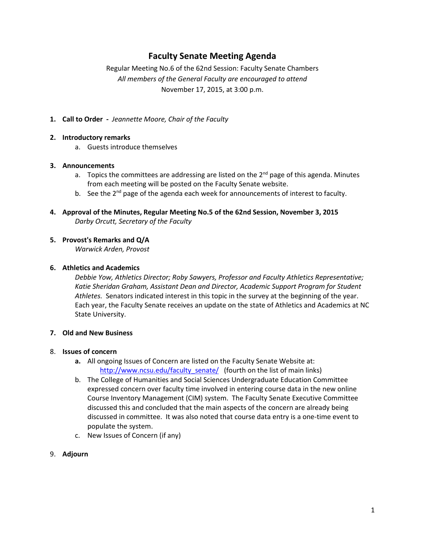## **Faculty Senate Meeting Agenda**

Regular Meeting No.6 of the 62nd Session: Faculty Senate Chambers *All members of the General Faculty are encouraged to attend* November 17, 2015, at 3:00 p.m.

**1. Call to Order -** *Jeannette Moore, Chair of the Faculty*

### **2. Introductory remarks**

a. Guests introduce themselves

### **3. Announcements**

- a. Topics the committees are addressing are listed on the  $2^{nd}$  page of this agenda. Minutes from each meeting will be posted on the Faculty Senate website.
- b. See the  $2^{nd}$  page of the agenda each week for announcements of interest to faculty.
- **4. Approval of the Minutes, Regular Meeting No.5 of the 62nd Session, November 3, 2015** *Darby Orcutt, Secretary of the Faculty*

### **5. Provost's Remarks and Q/A**

*Warwick Arden, Provost*

### **6. Athletics and Academics**

*Debbie Yow, Athletics Director; Roby Sawyers, Professor and Faculty Athletics Representative; Katie Sheridan Graham, Assistant Dean and Director, Academic Support Program for Student Athletes.* Senators indicated interest in this topic in the survey at the beginning of the year. Each year, the Faculty Senate receives an update on the state of Athletics and Academics at NC State University.

### **7. Old and New Business**

### 8. **Issues of concern**

- **a.** All ongoing Issues of Concern are listed on the Faculty Senate Website at: [http://www.ncsu.edu/faculty\\_senate/](http://www.ncsu.edu/faculty_senate/) (fourth on the list of main links)
- b. The College of Humanities and Social Sciences Undergraduate Education Committee expressed concern over faculty time involved in entering course data in the new online Course Inventory Management (CIM) system. The Faculty Senate Executive Committee discussed this and concluded that the main aspects of the concern are already being discussed in committee. It was also noted that course data entry is a one-time event to populate the system.
- c. New Issues of Concern (if any)
- 9. **Adjourn**